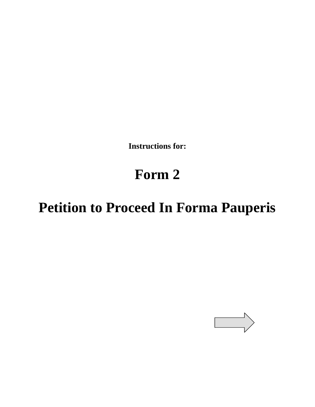**Instructions for:** 

# **Form 2**

# **Petition to Proceed In Forma Pauperis**

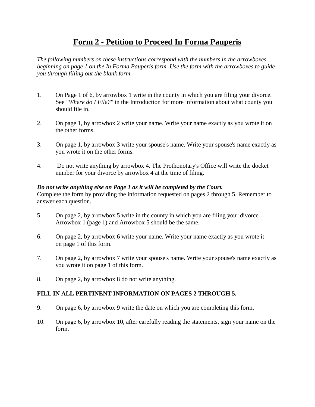## **Form 2 - Petition to Proceed In Forma Pauperis**

*The following numbers on these instructions correspond with the numbers in the arrowboxes beginning on page 1 on the In Forma Pauperis form. Use the form with the arrowboxes to guide you through filling out the blank form.*

- 1. On Page 1 of 6, by arrowbox 1 write in the county in which you are filing your divorce. See *"Where do I File?"* in the Introduction for more information about what county you should file in.
- 2. On page 1, by arrowbox 2 write your name. Write your name exactly as you wrote it on the other forms.
- 3. On page 1, by arrowbox 3 write your spouse's name. Write your spouse's name exactly as you wrote it on the other forms.
- 4. Do not write anything by arrowbox 4. The Prothonotary's Office will write the docket number for your divorce by arrowbox 4 at the time of filing.

#### *Do not write anything else on Page 1 as it will be completed by the Court.*

Complete the form by providing the information requested on pages 2 through 5. Remember to answer each question.

- 5. On page 2, by arrowbox 5 write in the county in which you are filing your divorce. Arrowbox 1 (page 1) and Arrowbox 5 should be the same.
- 6. On page 2, by arrowbox 6 write your name. Write your name exactly as you wrote it on page 1 of this form.
- 7. On page 2, by arrowbox 7 write your spouse's name. Write your spouse's name exactly as you wrote it on page 1 of this form.
- 8. On page 2, by arrowbox 8 do not write anything.

#### **FILL IN ALL PERTINENT INFORMATION ON PAGES 2 THROUGH 5.**

- 9. On page 6, by arrowbox 9 write the date on which you are completing this form.
- 10. On page 6, by arrowbox 10, after carefully reading the statements, sign your name on the form.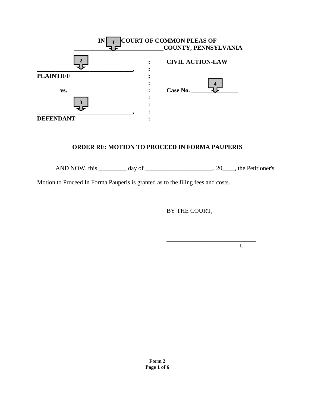|                  | IN | <b>COURT OF COMMON PLEAS OF</b> |
|------------------|----|---------------------------------|
|                  |    | COUNTY, PENNSYLVANIA            |
|                  |    | <b>CIVIL ACTION-LAW</b>         |
| <b>PLAINTIFF</b> |    |                                 |
|                  |    |                                 |
| VS.              |    | Case No.                        |
| ว                |    |                                 |
| <b>DEFENDANT</b> |    |                                 |

#### **ORDER RE: MOTION TO PROCEED IN FORMA PAUPERIS**

AND NOW, this  $\_\_\_\_\_\_\_\$  day of  $\_\_\_\_\_\_\_\_\_\_$ , 20 $\_\_\_\_\_\_\_\_\_\_\_\.\$  the Petitioner's

Motion to Proceed In Forma Pauperis is granted as to the filing fees and costs.

BY THE COURT,

\_\_\_\_\_\_\_\_\_\_\_\_\_\_\_\_\_\_\_\_\_\_\_\_\_\_\_\_\_

J.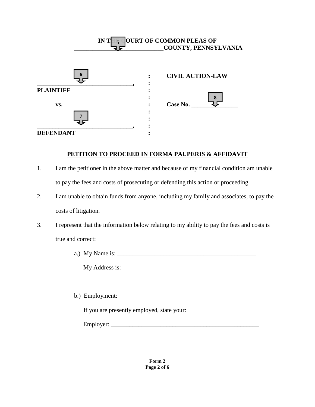

#### **PETITION TO PROCEED IN FORMA PAUPERIS & AFFIDAVIT**

- 1. I am the petitioner in the above matter and because of my financial condition am unable to pay the fees and costs of prosecuting or defending this action or proceeding.
- 2. I am unable to obtain funds from anyone, including my family and associates, to pay the costs of litigation.
- 3. I represent that the information below relating to my ability to pay the fees and costs is true and correct:
	- a.) My Name is:

My Address is:

\_\_\_\_\_\_\_\_\_\_\_\_\_\_\_\_\_\_\_\_\_\_\_\_\_\_\_\_\_\_\_\_\_\_\_\_\_\_\_\_\_\_\_\_\_\_\_\_

b.) Employment:

If you are presently employed, state your:

Employer: \_\_\_\_\_\_\_\_\_\_\_\_\_\_\_\_\_\_\_\_\_\_\_\_\_\_\_\_\_\_\_\_\_\_\_\_\_\_\_\_\_\_\_\_\_\_\_\_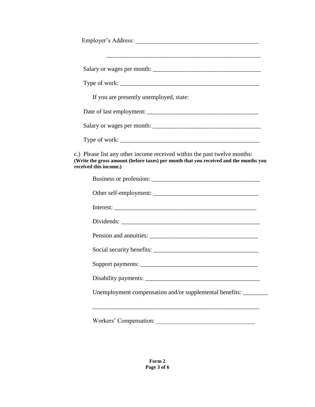| If you are presently unemployed, state:                                                                                                                                                     |
|---------------------------------------------------------------------------------------------------------------------------------------------------------------------------------------------|
|                                                                                                                                                                                             |
|                                                                                                                                                                                             |
|                                                                                                                                                                                             |
| c.) Please list any other income received within the past twelve months:<br>(Write the gross amount (before taxes) per month that you received and the months you<br>received this income.) |
| Business or profession:                                                                                                                                                                     |
|                                                                                                                                                                                             |
|                                                                                                                                                                                             |
|                                                                                                                                                                                             |
|                                                                                                                                                                                             |
|                                                                                                                                                                                             |
|                                                                                                                                                                                             |
|                                                                                                                                                                                             |
| Unemployment compensation and/or supplemental benefits: _______                                                                                                                             |
|                                                                                                                                                                                             |
| Workers' Compensation:                                                                                                                                                                      |

**Form 2 Page 3 of 6**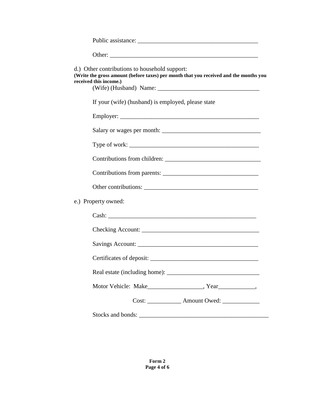| d.) Other contributions to household support:<br>(Write the gross amount (before taxes) per month that you received and the months you<br>received this income.) |
|------------------------------------------------------------------------------------------------------------------------------------------------------------------|
| If your (wife) (husband) is employed, please state                                                                                                               |
|                                                                                                                                                                  |
|                                                                                                                                                                  |
|                                                                                                                                                                  |
|                                                                                                                                                                  |
|                                                                                                                                                                  |
|                                                                                                                                                                  |
| e.) Property owned:                                                                                                                                              |
|                                                                                                                                                                  |
|                                                                                                                                                                  |
|                                                                                                                                                                  |
|                                                                                                                                                                  |
|                                                                                                                                                                  |
|                                                                                                                                                                  |
| Cost: _______________ Amount Owed: ______________                                                                                                                |
|                                                                                                                                                                  |

**Form 2 Page 4 of 6**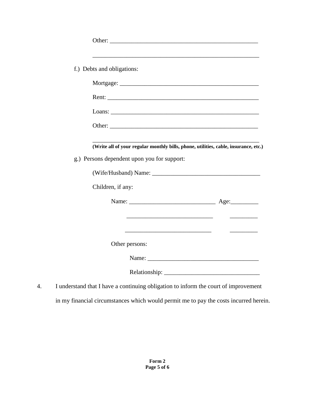|    | f.) Debts and obligations:                                                          |                                  |
|----|-------------------------------------------------------------------------------------|----------------------------------|
|    |                                                                                     |                                  |
|    |                                                                                     |                                  |
|    |                                                                                     |                                  |
|    |                                                                                     |                                  |
|    |                                                                                     |                                  |
|    |                                                                                     |                                  |
|    | (Write all of your regular monthly bills, phone, utilities, cable, insurance, etc.) |                                  |
|    | g.) Persons dependent upon you for support:                                         |                                  |
|    |                                                                                     |                                  |
|    | Children, if any:                                                                   |                                  |
|    |                                                                                     |                                  |
|    |                                                                                     | <u> 2000 - 2000 - 2000 - 200</u> |
|    | <u> 1989 - Andrea Andrew Maria (b. 1989)</u>                                        |                                  |
|    | Other persons:                                                                      |                                  |
|    |                                                                                     |                                  |
|    |                                                                                     |                                  |
| 4. | I understand that I have a continuing obligation to inform the court of improvement |                                  |

in my financial circumstances which would permit me to pay the costs incurred herein.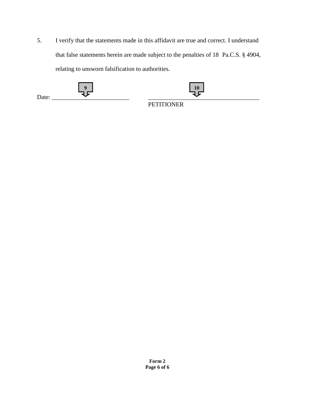5. I verify that the statements made in this affidavit are true and correct. I understand that false statements herein are made subject to the penalties of 18 Pa.C.S. § 4904, relating to unsworn falsification to authorities.

| Date: | $\Omega$ | 10                |
|-------|----------|-------------------|
|       |          | <b>PETITIONER</b> |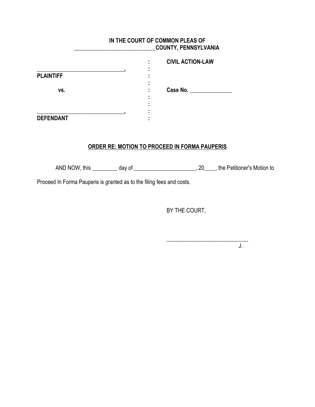### **IN THE COURT OF COMMON PLEAS OF \_\_\_\_\_\_\_\_\_\_\_\_\_\_\_\_\_\_\_\_\_\_\_\_\_\_\_\_\_COUNTY, PENNSYLVANIA**

|                  |  | <b>CIVIL ACTION-LAW</b> |
|------------------|--|-------------------------|
| <b>PLAINTIFF</b> |  |                         |
| VS.              |  | Case No.                |
|                  |  |                         |
| <b>DEFENDANT</b> |  |                         |

### **ORDER RE: MOTION TO PROCEED IN FORMA PAUPERIS**

AND NOW, this \_\_\_\_\_\_\_\_\_ day of \_\_\_\_\_\_\_\_\_\_\_\_\_\_\_\_\_\_\_\_\_\_\_, 20\_\_\_\_, the Petitioner's Motion to

Proceed In Forma Pauperis is granted as to the filing fees and costs.

BY THE COURT,

 $\frac{1}{2}$  , and the set of the set of the set of the set of the set of the set of the set of the set of the set of the set of the set of the set of the set of the set of the set of the set of the set of the set of the set

J.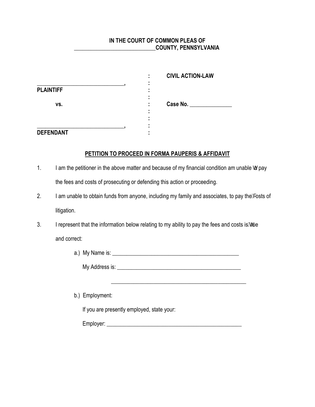#### **IN THE COURT OF COMMON PLEAS OF \_\_\_\_\_\_\_\_\_\_\_\_\_\_\_\_\_\_\_\_\_\_\_\_\_\_\_\_\_COUNTY, PENNSYLVANIA**

|                  |  | <b>CIVIL ACTION-LAW</b> |
|------------------|--|-------------------------|
|                  |  |                         |
| <b>PLAINTIFF</b> |  |                         |
| VS.              |  | Case No.                |
|                  |  |                         |
|                  |  |                         |
|                  |  |                         |
| <b>DEFENDANT</b> |  |                         |

#### **PETITION TO PROCEED IN FORMA PAUPERIS & AFFIDAVIT**

- 1. I am the petitioner in the above matter and because of my financial condition am unable ho pay the fees and costs of prosecuting or defending this action or proceeding.
- 2. I am unable to obtain funds from anyone, including my family and associates, to pay the Wests of litigation.
- 3. I represent that the information below relating to my ability to pay the fees and costs is have and correct:

 $\mathcal{L}_\text{max}$  , and the contract of the contract of the contract of the contract of the contract of the contract of the contract of the contract of the contract of the contract of the contract of the contract of the contr

a.) My Name is: \_\_\_\_\_\_\_\_\_\_\_\_\_\_\_\_\_\_\_\_\_\_\_\_\_\_\_\_\_\_\_\_\_\_\_\_\_\_\_\_\_\_\_\_\_

My Address is: \_\_\_\_\_\_\_\_\_\_\_\_\_\_\_\_\_\_\_\_\_\_\_\_\_\_\_\_\_\_\_\_\_\_\_\_\_\_\_\_\_\_\_\_

b.) Employment:

If you are presently employed, state your:

Employer: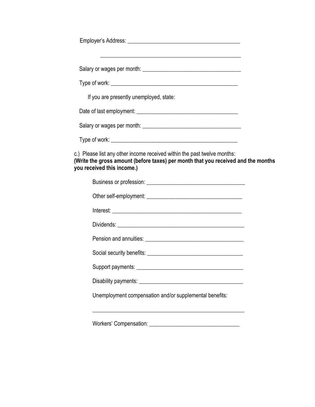| <u> 1989 - Johann Stoff, amerikansk politiker (d. 1989)</u>                                                                                                                                 |  |
|---------------------------------------------------------------------------------------------------------------------------------------------------------------------------------------------|--|
|                                                                                                                                                                                             |  |
| If you are presently unemployed, state:                                                                                                                                                     |  |
|                                                                                                                                                                                             |  |
|                                                                                                                                                                                             |  |
|                                                                                                                                                                                             |  |
| c.) Please list any other income received within the past twelve months:<br>(Write the gross amount (before taxes) per month that you received and the months<br>you received this income.) |  |
|                                                                                                                                                                                             |  |
|                                                                                                                                                                                             |  |
|                                                                                                                                                                                             |  |
|                                                                                                                                                                                             |  |
|                                                                                                                                                                                             |  |
|                                                                                                                                                                                             |  |
|                                                                                                                                                                                             |  |
|                                                                                                                                                                                             |  |
| Unemployment compensation and/or supplemental benefits:                                                                                                                                     |  |
| <u> 1989 - Johann John Stoff, deutscher Stoffen und der Stoffen und der Stoffen und der Stoffen und der Stoffen un</u>                                                                      |  |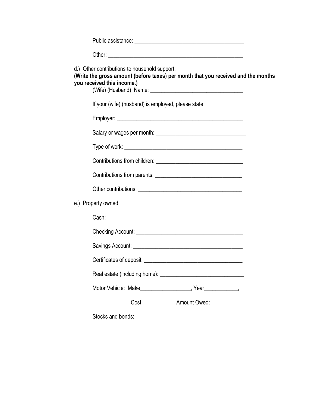| d.) Other contributions to household support:<br>(Write the gross amount (before taxes) per month that you received and the months<br>you received this income.) |  |
|------------------------------------------------------------------------------------------------------------------------------------------------------------------|--|
| If your (wife) (husband) is employed, please state                                                                                                               |  |
|                                                                                                                                                                  |  |
|                                                                                                                                                                  |  |
|                                                                                                                                                                  |  |
|                                                                                                                                                                  |  |
|                                                                                                                                                                  |  |
|                                                                                                                                                                  |  |
| e.) Property owned:                                                                                                                                              |  |
|                                                                                                                                                                  |  |
|                                                                                                                                                                  |  |
|                                                                                                                                                                  |  |
|                                                                                                                                                                  |  |
|                                                                                                                                                                  |  |
| Motor Vehicle: Make__________________, Year__________,                                                                                                           |  |
| Cost: _______________ Amount Owed: ______________                                                                                                                |  |
|                                                                                                                                                                  |  |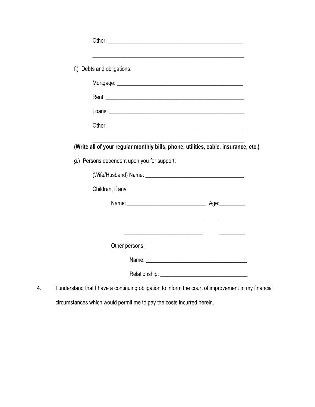| f.) Debts and obligations:                                                          |                                                                                                                       |
|-------------------------------------------------------------------------------------|-----------------------------------------------------------------------------------------------------------------------|
|                                                                                     |                                                                                                                       |
| Rent: <u>Communication</u>                                                          |                                                                                                                       |
|                                                                                     |                                                                                                                       |
|                                                                                     |                                                                                                                       |
| (Write all of your regular monthly bills, phone, utilities, cable, insurance, etc.) |                                                                                                                       |
|                                                                                     |                                                                                                                       |
|                                                                                     |                                                                                                                       |
|                                                                                     |                                                                                                                       |
| Children, if any:                                                                   |                                                                                                                       |
| g.) Persons dependent upon you for support:                                         |                                                                                                                       |
|                                                                                     | <u> 1980 - Jan Barbara Barbara, mandat bashkar a shekara 1980 - Shekara Barbara Barbara a shekara 1980 - Shekara </u> |
|                                                                                     |                                                                                                                       |
| Other persons:                                                                      |                                                                                                                       |
|                                                                                     |                                                                                                                       |

4. I understand that I have a continuing obligation to inform the court of improvement in my financial circumstances which would permit me to pay the costs incurred herein.